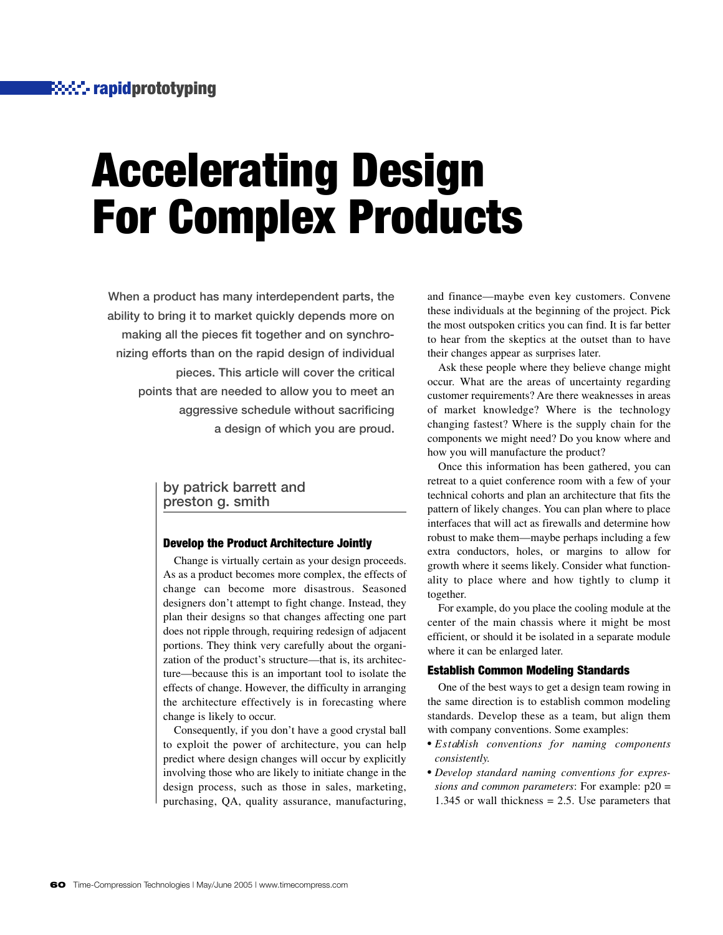# **Accelerating Design For Complex Products**

**When a product has many interdependent parts, the ability to bring it to market quickly depends more on making all the pieces fit together and on synchronizing efforts than on the rapid design of individual pieces. This article will cover the critical points that are needed to allow you to meet an aggressive schedule without sacrificing a design of which you are proud.**

#### **by patrick barrett and preston g. smith**

#### **Develop the Product Architecture Jointly**

Change is virtually certain as your design proceeds. As as a product becomes more complex, the effects of change can become more disastrous. Seasoned designers don't attempt to fight change. Instead, they plan their designs so that changes affecting one part does not ripple through, requiring redesign of adjacent portions. They think very carefully about the organization of the product's structure—that is, its architecture—because this is an important tool to isolate the effects of change. However, the difficulty in arranging the architecture effectively is in forecasting where change is likely to occur.

Consequently, if you don't have a good crystal ball to exploit the power of architecture, you can help predict where design changes will occur by explicitly involving those who are likely to initiate change in the design process, such as those in sales, marketing, purchasing, QA, quality assurance, manufacturing,

and finance—maybe even key customers. Convene these individuals at the beginning of the project. Pick the most outspoken critics you can find. It is far better to hear from the skeptics at the outset than to have their changes appear as surprises later.

Ask these people where they believe change might occur. What are the areas of uncertainty regarding customer requirements? Are there weaknesses in areas of market knowledge? Where is the technology changing fastest? Where is the supply chain for the components we might need? Do you know where and how you will manufacture the product?

Once this information has been gathered, you can retreat to a quiet conference room with a few of your technical cohorts and plan an architecture that fits the pattern of likely changes. You can plan where to place interfaces that will act as firewalls and determine how robust to make them—maybe perhaps including a few extra conductors, holes, or margins to allow for growth where it seems likely. Consider what functionality to place where and how tightly to clump it together.

For example, do you place the cooling module at the center of the main chassis where it might be most efficient, or should it be isolated in a separate module where it can be enlarged later.

#### **Establish Common Modeling Standards**

One of the best ways to get a design team rowing in the same direction is to establish common modeling standards. Develop these as a team, but align them with company conventions. Some examples:

- *E s t ablish conventions for naming components consistently.*
- *Develop standard naming conventions for expressions and common parameters*: For example: p20 = 1.345 or wall thickness  $= 2.5$ . Use parameters that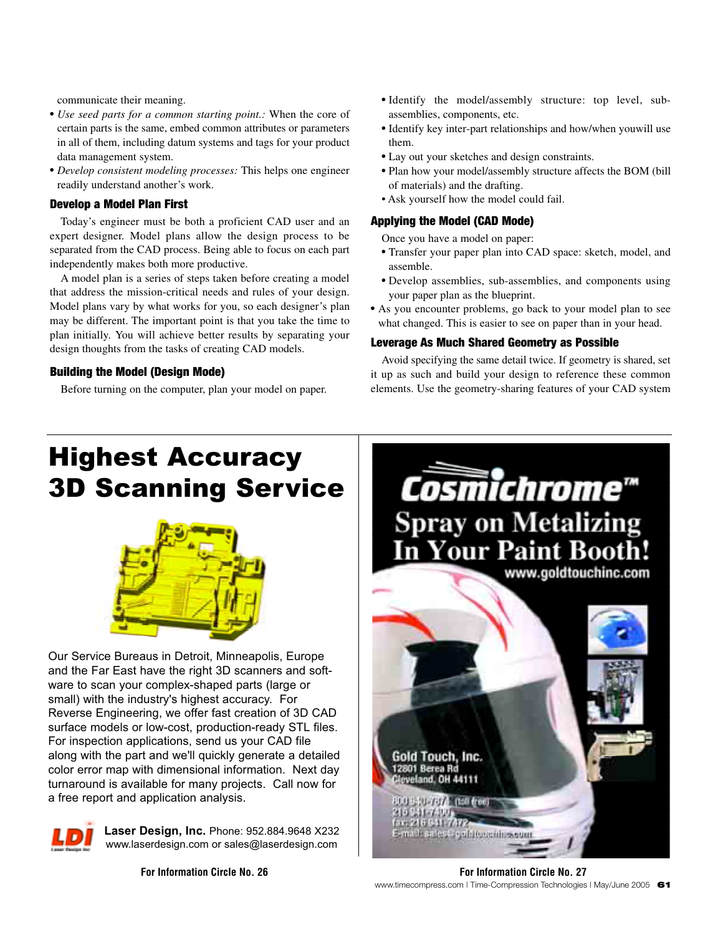communicate their meaning.

- *Use seed parts for a common starting point.:* When the core of certain parts is the same, embed common attributes or parameters in all of them, including datum systems and tags for your product data management system.
- *Develop consistent modeling processes:* This helps one engineer readily understand another's work.

#### **Develop a Model Plan First**

Today's engineer must be both a proficient CAD user and an expert designer. Model plans allow the design process to be separated from the CAD process. Being able to focus on each part independently makes both more productive.

A model plan is a series of steps taken before creating a model that address the mission-critical needs and rules of your design. Model plans vary by what works for you, so each designer's plan may be different. The important point is that you take the time to plan initially. You will achieve better results by separating your design thoughts from the tasks of creating CAD models.

#### **Building the Model (Design Mode)**

Before turning on the computer, plan your model on paper.

- Identify the model/assembly structure: top level, subassemblies, components, etc.
- Identify key inter-part relationships and how/when youwill use them.
- Lay out your sketches and design constraints.
- Plan how your model/assembly structure affects the BOM (bill of materials) and the drafting.
- Ask yourself how the model could fail.

#### **Applying the Model (CAD Mode)**

Once you have a model on paper:

- Transfer your paper plan into CAD space: sketch, model, and assemble.
- Develop assemblies, sub-assemblies, and components using your paper plan as the blueprint.
- As you encounter problems, go back to your model plan to see what changed. This is easier to see on paper than in your head.

#### **Leverage As Much Shared Geometry as Possible**

Avoid specifying the same detail twice. If geometry is shared, set it up as such and build your design to reference these common elements. Use the geometry-sharing features of your CAD system

## **Highest Accuracy<br>3D Scanning Service** 3D Scanning Service



Our Service Bureaus in Detroit, Minneapolis, Europe and the Far East have the right 3D scanners and software to scan your complex-shaped parts (large or small) with the industry's highest accuracy. For Reverse Engineering, we offer fast creation of 3D CAD surface models or low-cost, production-ready STL files. For inspection applications, send us your CAD file along with the part and we'll quickly generate a detailed color error map with dimensional information. Next day turnaround is available for many projects. Call now for a free report and application analysis.



**Laser Design, Inc.** Phone: 952.884.9648 X232 www.laserdesign.com or sales@laserdesign.com



www.timecompress.com | Time-Compression Technologies | May/June 2005 **61 For Information Circle No. 26 For Information Circle No. 27**